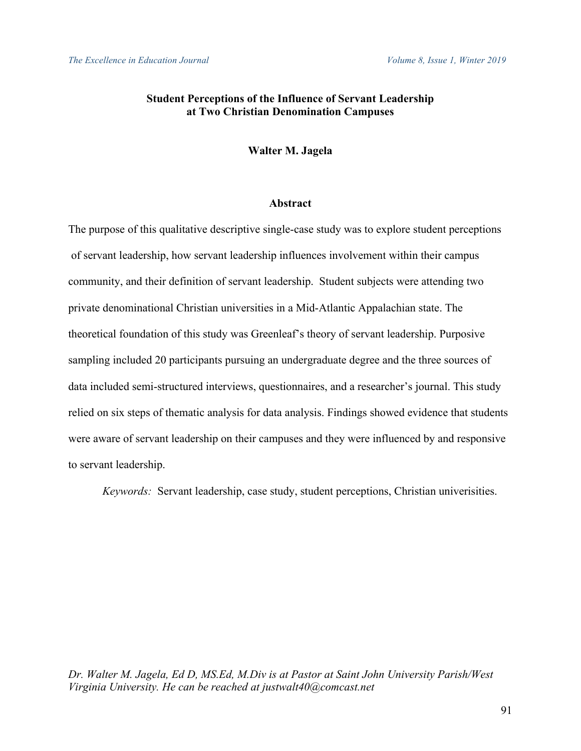## **Student Perceptions of the Influence of Servant Leadership at Two Christian Denomination Campuses**

## **Walter M. Jagela**

## **Abstract**

The purpose of this qualitative descriptive single-case study was to explore student perceptions of servant leadership, how servant leadership influences involvement within their campus community, and their definition of servant leadership. Student subjects were attending two private denominational Christian universities in a Mid-Atlantic Appalachian state. The theoretical foundation of this study was Greenleaf's theory of servant leadership. Purposive sampling included 20 participants pursuing an undergraduate degree and the three sources of data included semi-structured interviews, questionnaires, and a researcher's journal. This study relied on six steps of thematic analysis for data analysis. Findings showed evidence that students were aware of servant leadership on their campuses and they were influenced by and responsive to servant leadership.

*Keywords:* Servant leadership, case study, student perceptions, Christian univerisities.

*Dr. Walter M. Jagela, Ed D, MS.Ed, M.Div is at Pastor at Saint John University Parish/West Virginia University. He can be reached at justwalt40@comcast.net*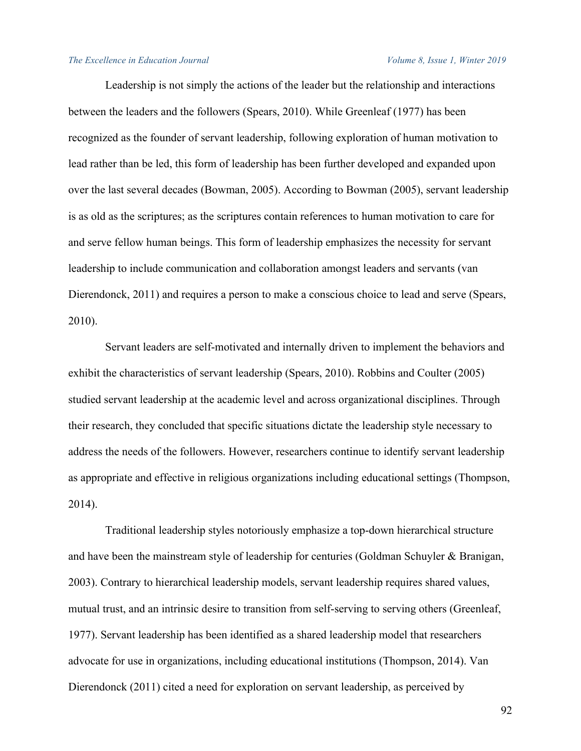Leadership is not simply the actions of the leader but the relationship and interactions between the leaders and the followers (Spears, 2010). While Greenleaf (1977) has been recognized as the founder of servant leadership, following exploration of human motivation to lead rather than be led, this form of leadership has been further developed and expanded upon over the last several decades (Bowman, 2005). According to Bowman (2005), servant leadership is as old as the scriptures; as the scriptures contain references to human motivation to care for and serve fellow human beings. This form of leadership emphasizes the necessity for servant leadership to include communication and collaboration amongst leaders and servants (van Dierendonck, 2011) and requires a person to make a conscious choice to lead and serve (Spears, 2010).

 Servant leaders are self-motivated and internally driven to implement the behaviors and exhibit the characteristics of servant leadership (Spears, 2010). Robbins and Coulter (2005) studied servant leadership at the academic level and across organizational disciplines. Through their research, they concluded that specific situations dictate the leadership style necessary to address the needs of the followers. However, researchers continue to identify servant leadership as appropriate and effective in religious organizations including educational settings (Thompson, 2014).

 Traditional leadership styles notoriously emphasize a top-down hierarchical structure and have been the mainstream style of leadership for centuries (Goldman Schuyler & Branigan, 2003). Contrary to hierarchical leadership models, servant leadership requires shared values, mutual trust, and an intrinsic desire to transition from self-serving to serving others (Greenleaf, 1977). Servant leadership has been identified as a shared leadership model that researchers advocate for use in organizations, including educational institutions (Thompson, 2014). Van Dierendonck (2011) cited a need for exploration on servant leadership, as perceived by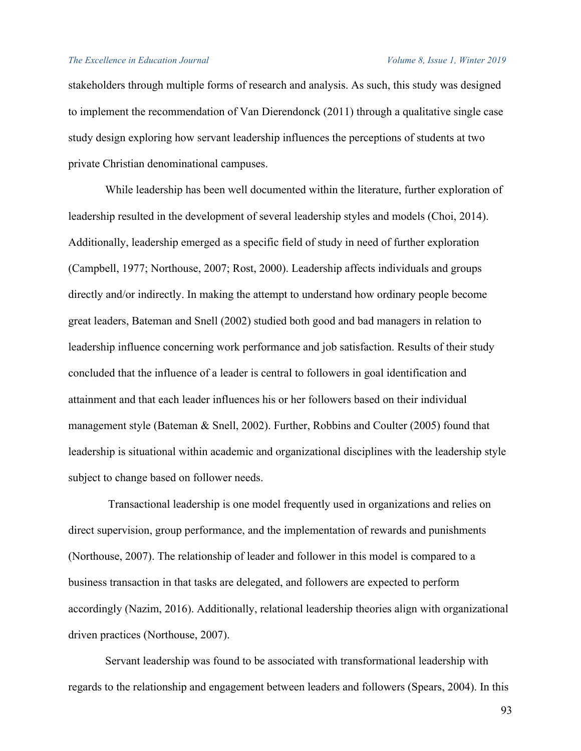stakeholders through multiple forms of research and analysis. As such, this study was designed to implement the recommendation of Van Dierendonck (2011) through a qualitative single case study design exploring how servant leadership influences the perceptions of students at two private Christian denominational campuses.

 While leadership has been well documented within the literature, further exploration of leadership resulted in the development of several leadership styles and models (Choi, 2014). Additionally, leadership emerged as a specific field of study in need of further exploration (Campbell, 1977; Northouse, 2007; Rost, 2000). Leadership affects individuals and groups directly and/or indirectly. In making the attempt to understand how ordinary people become great leaders, Bateman and Snell (2002) studied both good and bad managers in relation to leadership influence concerning work performance and job satisfaction. Results of their study concluded that the influence of a leader is central to followers in goal identification and attainment and that each leader influences his or her followers based on their individual management style (Bateman & Snell, 2002). Further, Robbins and Coulter (2005) found that leadership is situational within academic and organizational disciplines with the leadership style subject to change based on follower needs.

 Transactional leadership is one model frequently used in organizations and relies on direct supervision, group performance, and the implementation of rewards and punishments (Northouse, 2007). The relationship of leader and follower in this model is compared to a business transaction in that tasks are delegated, and followers are expected to perform accordingly (Nazim, 2016). Additionally, relational leadership theories align with organizational driven practices (Northouse, 2007).

 Servant leadership was found to be associated with transformational leadership with regards to the relationship and engagement between leaders and followers (Spears, 2004). In this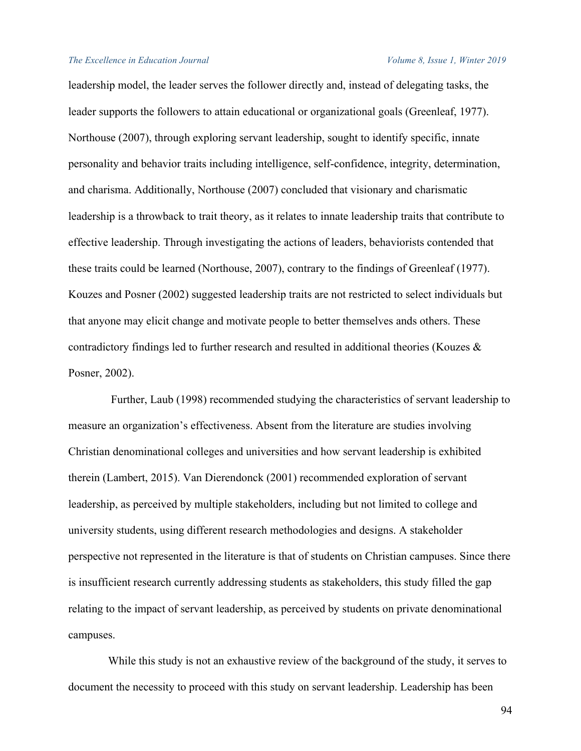leadership model, the leader serves the follower directly and, instead of delegating tasks, the leader supports the followers to attain educational or organizational goals (Greenleaf, 1977). Northouse (2007), through exploring servant leadership, sought to identify specific, innate personality and behavior traits including intelligence, self-confidence, integrity, determination, and charisma. Additionally, Northouse (2007) concluded that visionary and charismatic leadership is a throwback to trait theory, as it relates to innate leadership traits that contribute to effective leadership. Through investigating the actions of leaders, behaviorists contended that these traits could be learned (Northouse, 2007), contrary to the findings of Greenleaf (1977). Kouzes and Posner (2002) suggested leadership traits are not restricted to select individuals but that anyone may elicit change and motivate people to better themselves ands others. These contradictory findings led to further research and resulted in additional theories (Kouzes & Posner, 2002).

 Further, Laub (1998) recommended studying the characteristics of servant leadership to measure an organization's effectiveness. Absent from the literature are studies involving Christian denominational colleges and universities and how servant leadership is exhibited therein (Lambert, 2015). Van Dierendonck (2001) recommended exploration of servant leadership, as perceived by multiple stakeholders, including but not limited to college and university students, using different research methodologies and designs. A stakeholder perspective not represented in the literature is that of students on Christian campuses. Since there is insufficient research currently addressing students as stakeholders, this study filled the gap relating to the impact of servant leadership, as perceived by students on private denominational campuses.

 While this study is not an exhaustive review of the background of the study, it serves to document the necessity to proceed with this study on servant leadership. Leadership has been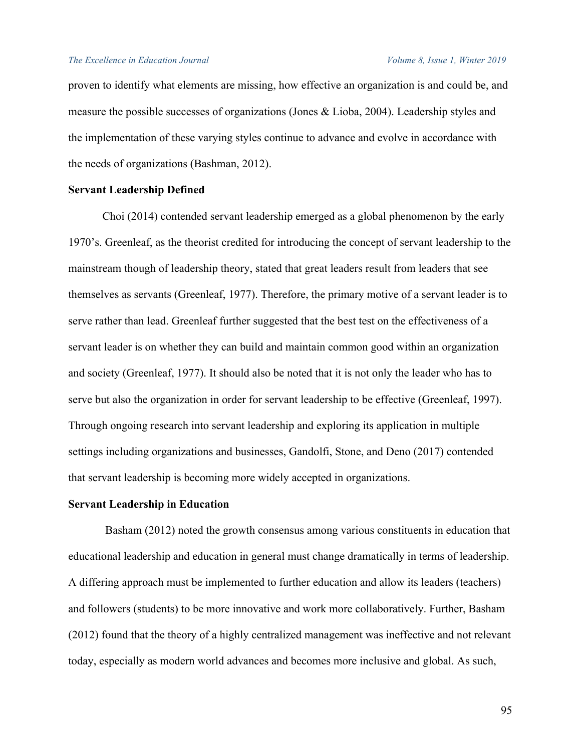proven to identify what elements are missing, how effective an organization is and could be, and measure the possible successes of organizations (Jones & Lioba, 2004). Leadership styles and the implementation of these varying styles continue to advance and evolve in accordance with the needs of organizations (Bashman, 2012).

## **Servant Leadership Defined**

Choi (2014) contended servant leadership emerged as a global phenomenon by the early 1970's. Greenleaf, as the theorist credited for introducing the concept of servant leadership to the mainstream though of leadership theory, stated that great leaders result from leaders that see themselves as servants (Greenleaf, 1977). Therefore, the primary motive of a servant leader is to serve rather than lead. Greenleaf further suggested that the best test on the effectiveness of a servant leader is on whether they can build and maintain common good within an organization and society (Greenleaf, 1977). It should also be noted that it is not only the leader who has to serve but also the organization in order for servant leadership to be effective (Greenleaf, 1997). Through ongoing research into servant leadership and exploring its application in multiple settings including organizations and businesses, Gandolfi, Stone, and Deno (2017) contended that servant leadership is becoming more widely accepted in organizations.

### **Servant Leadership in Education**

Basham (2012) noted the growth consensus among various constituents in education that educational leadership and education in general must change dramatically in terms of leadership. A differing approach must be implemented to further education and allow its leaders (teachers) and followers (students) to be more innovative and work more collaboratively. Further, Basham (2012) found that the theory of a highly centralized management was ineffective and not relevant today, especially as modern world advances and becomes more inclusive and global. As such,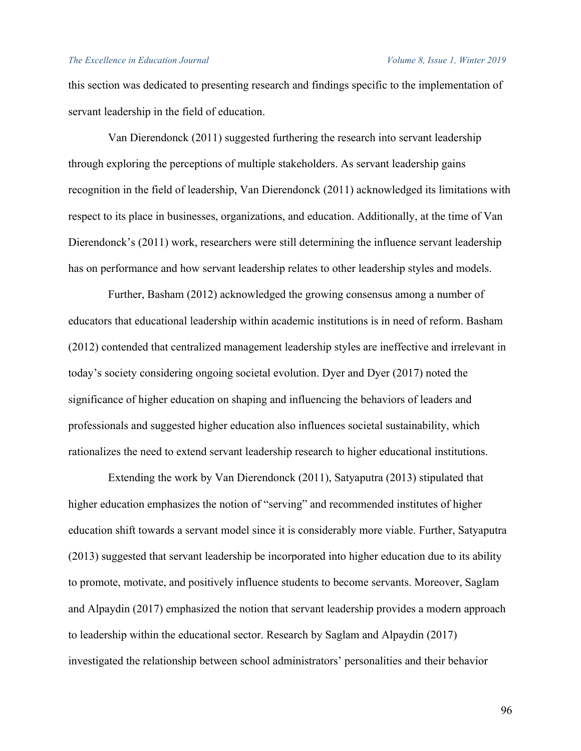this section was dedicated to presenting research and findings specific to the implementation of servant leadership in the field of education.

 Van Dierendonck (2011) suggested furthering the research into servant leadership through exploring the perceptions of multiple stakeholders. As servant leadership gains recognition in the field of leadership, Van Dierendonck (2011) acknowledged its limitations with respect to its place in businesses, organizations, and education. Additionally, at the time of Van Dierendonck's (2011) work, researchers were still determining the influence servant leadership has on performance and how servant leadership relates to other leadership styles and models.

 Further, Basham (2012) acknowledged the growing consensus among a number of educators that educational leadership within academic institutions is in need of reform. Basham (2012) contended that centralized management leadership styles are ineffective and irrelevant in today's society considering ongoing societal evolution. Dyer and Dyer (2017) noted the significance of higher education on shaping and influencing the behaviors of leaders and professionals and suggested higher education also influences societal sustainability, which rationalizes the need to extend servant leadership research to higher educational institutions.

 Extending the work by Van Dierendonck (2011), Satyaputra (2013) stipulated that higher education emphasizes the notion of "serving" and recommended institutes of higher education shift towards a servant model since it is considerably more viable. Further, Satyaputra (2013) suggested that servant leadership be incorporated into higher education due to its ability to promote, motivate, and positively influence students to become servants. Moreover, Saglam and Alpaydin (2017) emphasized the notion that servant leadership provides a modern approach to leadership within the educational sector. Research by Saglam and Alpaydin (2017) investigated the relationship between school administrators' personalities and their behavior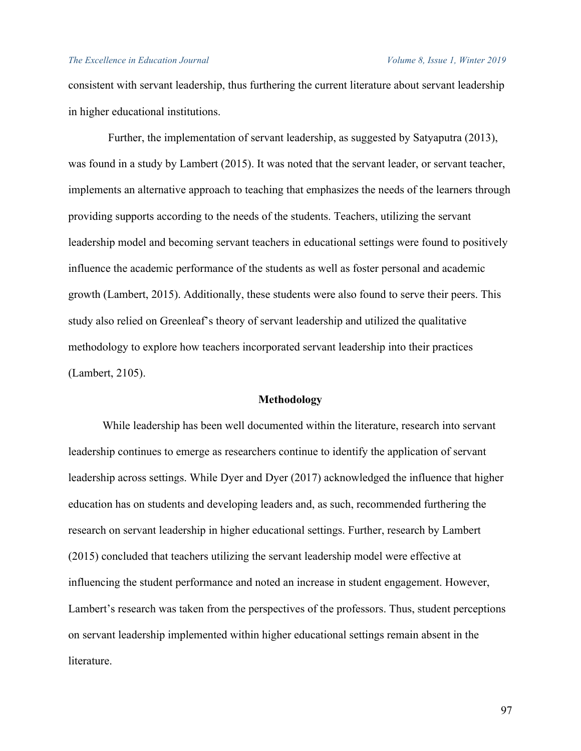consistent with servant leadership, thus furthering the current literature about servant leadership in higher educational institutions.

 Further, the implementation of servant leadership, as suggested by Satyaputra (2013), was found in a study by Lambert (2015). It was noted that the servant leader, or servant teacher, implements an alternative approach to teaching that emphasizes the needs of the learners through providing supports according to the needs of the students. Teachers, utilizing the servant leadership model and becoming servant teachers in educational settings were found to positively influence the academic performance of the students as well as foster personal and academic growth (Lambert, 2015). Additionally, these students were also found to serve their peers. This study also relied on Greenleaf's theory of servant leadership and utilized the qualitative methodology to explore how teachers incorporated servant leadership into their practices (Lambert, 2105).

## **Methodology**

While leadership has been well documented within the literature, research into servant leadership continues to emerge as researchers continue to identify the application of servant leadership across settings. While Dyer and Dyer (2017) acknowledged the influence that higher education has on students and developing leaders and, as such, recommended furthering the research on servant leadership in higher educational settings. Further, research by Lambert (2015) concluded that teachers utilizing the servant leadership model were effective at influencing the student performance and noted an increase in student engagement. However, Lambert's research was taken from the perspectives of the professors. Thus, student perceptions on servant leadership implemented within higher educational settings remain absent in the literature.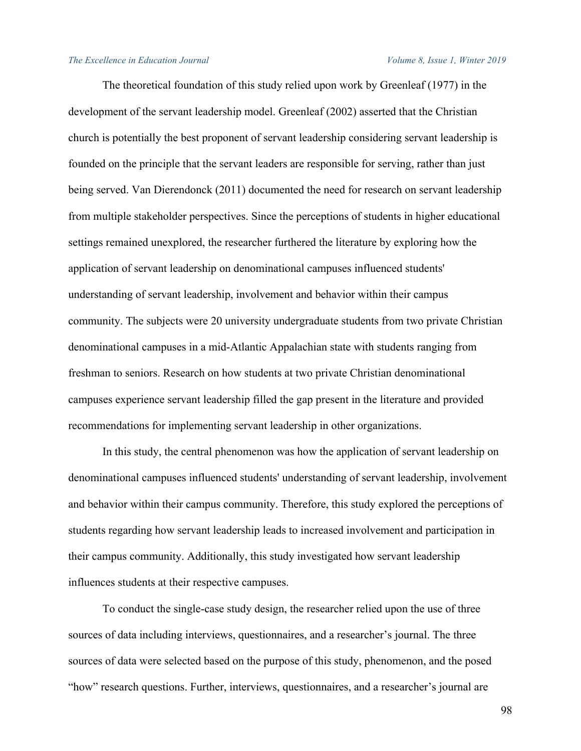The theoretical foundation of this study relied upon work by Greenleaf (1977) in the development of the servant leadership model. Greenleaf (2002) asserted that the Christian church is potentially the best proponent of servant leadership considering servant leadership is founded on the principle that the servant leaders are responsible for serving, rather than just being served. Van Dierendonck (2011) documented the need for research on servant leadership from multiple stakeholder perspectives. Since the perceptions of students in higher educational settings remained unexplored, the researcher furthered the literature by exploring how the application of servant leadership on denominational campuses influenced students' understanding of servant leadership, involvement and behavior within their campus community. The subjects were 20 university undergraduate students from two private Christian denominational campuses in a mid-Atlantic Appalachian state with students ranging from freshman to seniors. Research on how students at two private Christian denominational campuses experience servant leadership filled the gap present in the literature and provided recommendations for implementing servant leadership in other organizations.

In this study, the central phenomenon was how the application of servant leadership on denominational campuses influenced students' understanding of servant leadership, involvement and behavior within their campus community. Therefore, this study explored the perceptions of students regarding how servant leadership leads to increased involvement and participation in their campus community. Additionally, this study investigated how servant leadership influences students at their respective campuses.

To conduct the single-case study design, the researcher relied upon the use of three sources of data including interviews, questionnaires, and a researcher's journal. The three sources of data were selected based on the purpose of this study, phenomenon, and the posed "how" research questions. Further, interviews, questionnaires, and a researcher's journal are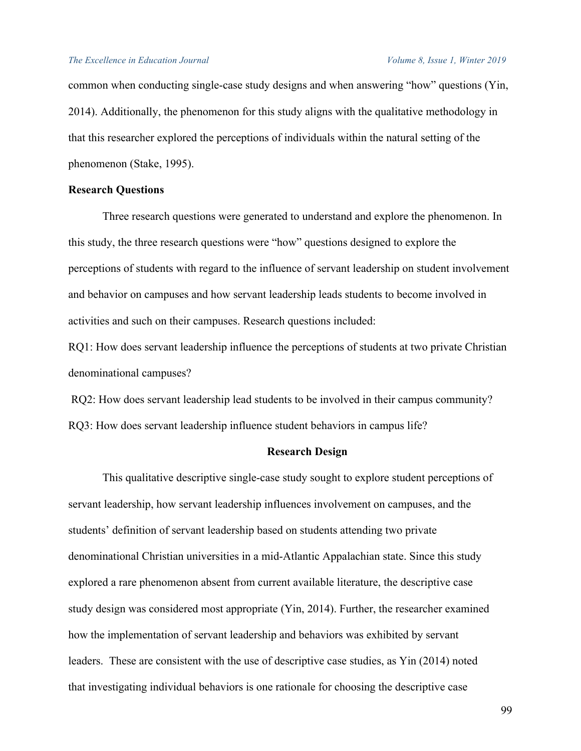common when conducting single-case study designs and when answering "how" questions (Yin, 2014). Additionally, the phenomenon for this study aligns with the qualitative methodology in that this researcher explored the perceptions of individuals within the natural setting of the phenomenon (Stake, 1995).

## **Research Questions**

Three research questions were generated to understand and explore the phenomenon. In this study, the three research questions were "how" questions designed to explore the perceptions of students with regard to the influence of servant leadership on student involvement and behavior on campuses and how servant leadership leads students to become involved in activities and such on their campuses. Research questions included:

RQ1: How does servant leadership influence the perceptions of students at two private Christian denominational campuses?

RQ2: How does servant leadership lead students to be involved in their campus community? RQ3: How does servant leadership influence student behaviors in campus life?

## **Research Design**

This qualitative descriptive single-case study sought to explore student perceptions of servant leadership, how servant leadership influences involvement on campuses, and the students' definition of servant leadership based on students attending two private denominational Christian universities in a mid-Atlantic Appalachian state. Since this study explored a rare phenomenon absent from current available literature, the descriptive case study design was considered most appropriate (Yin, 2014). Further, the researcher examined how the implementation of servant leadership and behaviors was exhibited by servant leaders. These are consistent with the use of descriptive case studies, as Yin (2014) noted that investigating individual behaviors is one rationale for choosing the descriptive case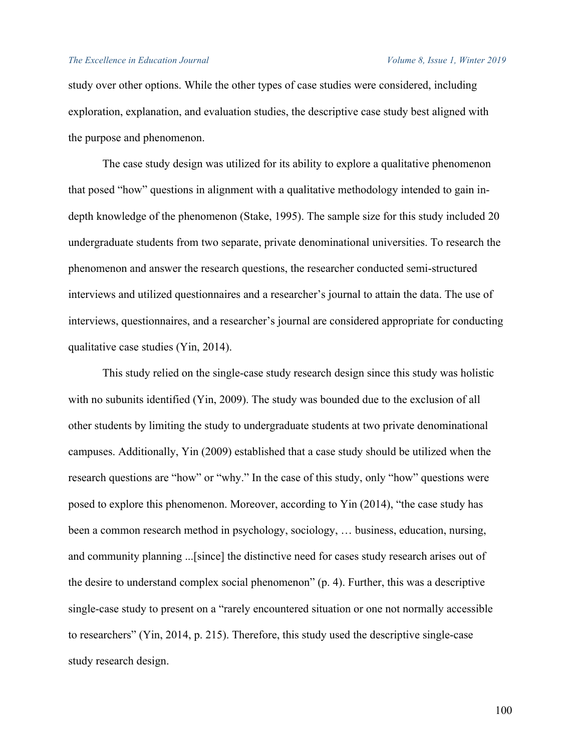study over other options. While the other types of case studies were considered, including exploration, explanation, and evaluation studies, the descriptive case study best aligned with the purpose and phenomenon.

The case study design was utilized for its ability to explore a qualitative phenomenon that posed "how" questions in alignment with a qualitative methodology intended to gain indepth knowledge of the phenomenon (Stake, 1995). The sample size for this study included 20 undergraduate students from two separate, private denominational universities. To research the phenomenon and answer the research questions, the researcher conducted semi-structured interviews and utilized questionnaires and a researcher's journal to attain the data. The use of interviews, questionnaires, and a researcher's journal are considered appropriate for conducting qualitative case studies (Yin, 2014).

This study relied on the single-case study research design since this study was holistic with no subunits identified (Yin, 2009). The study was bounded due to the exclusion of all other students by limiting the study to undergraduate students at two private denominational campuses. Additionally, Yin (2009) established that a case study should be utilized when the research questions are "how" or "why." In the case of this study, only "how" questions were posed to explore this phenomenon. Moreover, according to Yin (2014), "the case study has been a common research method in psychology, sociology, … business, education, nursing, and community planning ...[since] the distinctive need for cases study research arises out of the desire to understand complex social phenomenon" (p. 4). Further, this was a descriptive single-case study to present on a "rarely encountered situation or one not normally accessible to researchers" (Yin, 2014, p. 215). Therefore, this study used the descriptive single-case study research design.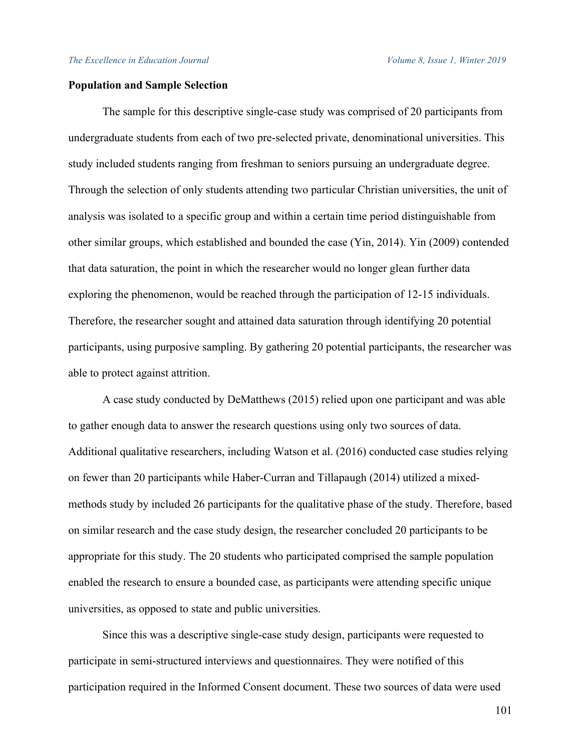## **Population and Sample Selection**

The sample for this descriptive single-case study was comprised of 20 participants from undergraduate students from each of two pre-selected private, denominational universities. This study included students ranging from freshman to seniors pursuing an undergraduate degree. Through the selection of only students attending two particular Christian universities, the unit of analysis was isolated to a specific group and within a certain time period distinguishable from other similar groups, which established and bounded the case (Yin, 2014). Yin (2009) contended that data saturation, the point in which the researcher would no longer glean further data exploring the phenomenon, would be reached through the participation of 12-15 individuals. Therefore, the researcher sought and attained data saturation through identifying 20 potential participants, using purposive sampling. By gathering 20 potential participants, the researcher was able to protect against attrition.

A case study conducted by DeMatthews (2015) relied upon one participant and was able to gather enough data to answer the research questions using only two sources of data. Additional qualitative researchers, including Watson et al. (2016) conducted case studies relying on fewer than 20 participants while Haber-Curran and Tillapaugh (2014) utilized a mixedmethods study by included 26 participants for the qualitative phase of the study. Therefore, based on similar research and the case study design, the researcher concluded 20 participants to be appropriate for this study. The 20 students who participated comprised the sample population enabled the research to ensure a bounded case, as participants were attending specific unique universities, as opposed to state and public universities.

Since this was a descriptive single-case study design, participants were requested to participate in semi-structured interviews and questionnaires. They were notified of this participation required in the Informed Consent document. These two sources of data were used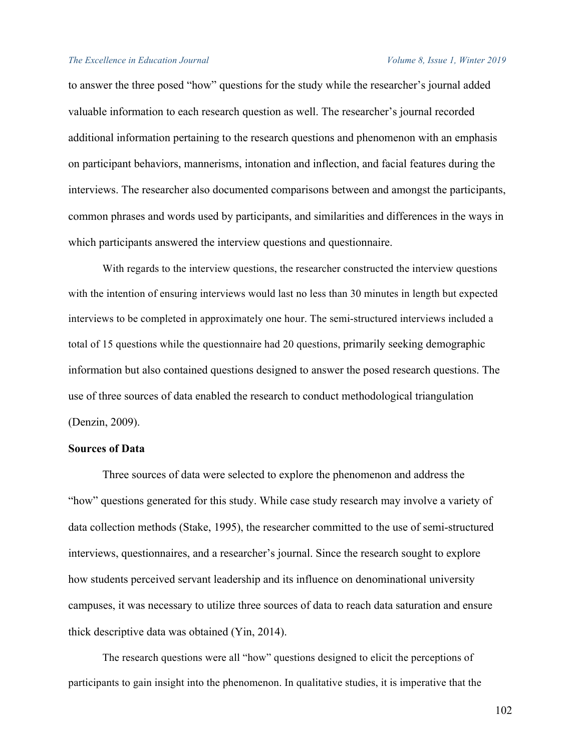to answer the three posed "how" questions for the study while the researcher's journal added valuable information to each research question as well. The researcher's journal recorded additional information pertaining to the research questions and phenomenon with an emphasis on participant behaviors, mannerisms, intonation and inflection, and facial features during the interviews. The researcher also documented comparisons between and amongst the participants, common phrases and words used by participants, and similarities and differences in the ways in which participants answered the interview questions and questionnaire.

With regards to the interview questions, the researcher constructed the interview questions with the intention of ensuring interviews would last no less than 30 minutes in length but expected interviews to be completed in approximately one hour. The semi-structured interviews included a total of 15 questions while the questionnaire had 20 questions, primarily seeking demographic information but also contained questions designed to answer the posed research questions. The use of three sources of data enabled the research to conduct methodological triangulation (Denzin, 2009).

## **Sources of Data**

Three sources of data were selected to explore the phenomenon and address the "how" questions generated for this study. While case study research may involve a variety of data collection methods (Stake, 1995), the researcher committed to the use of semi-structured interviews, questionnaires, and a researcher's journal. Since the research sought to explore how students perceived servant leadership and its influence on denominational university campuses, it was necessary to utilize three sources of data to reach data saturation and ensure thick descriptive data was obtained (Yin, 2014).

The research questions were all "how" questions designed to elicit the perceptions of participants to gain insight into the phenomenon. In qualitative studies, it is imperative that the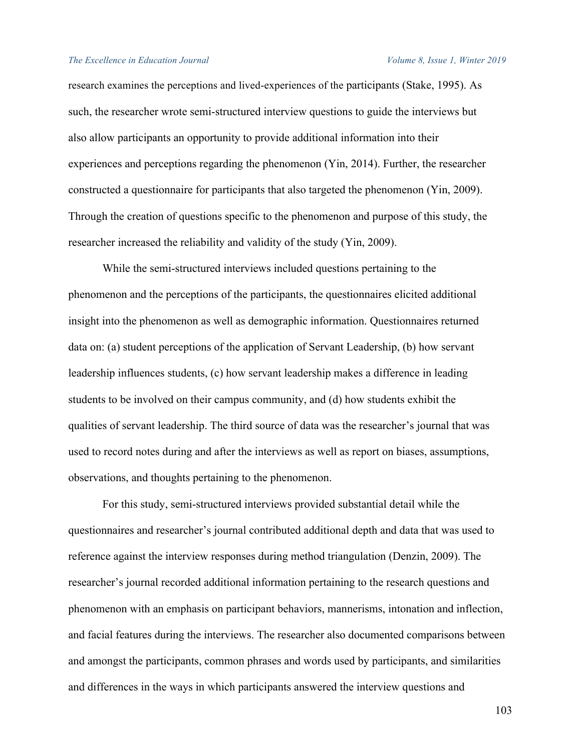research examines the perceptions and lived-experiences of the participants (Stake, 1995). As such, the researcher wrote semi-structured interview questions to guide the interviews but also allow participants an opportunity to provide additional information into their experiences and perceptions regarding the phenomenon (Yin, 2014). Further, the researcher constructed a questionnaire for participants that also targeted the phenomenon (Yin, 2009). Through the creation of questions specific to the phenomenon and purpose of this study, the researcher increased the reliability and validity of the study (Yin, 2009).

While the semi-structured interviews included questions pertaining to the phenomenon and the perceptions of the participants, the questionnaires elicited additional insight into the phenomenon as well as demographic information. Questionnaires returned data on: (a) student perceptions of the application of Servant Leadership, (b) how servant leadership influences students, (c) how servant leadership makes a difference in leading students to be involved on their campus community, and (d) how students exhibit the qualities of servant leadership. The third source of data was the researcher's journal that was used to record notes during and after the interviews as well as report on biases, assumptions, observations, and thoughts pertaining to the phenomenon.

For this study, semi-structured interviews provided substantial detail while the questionnaires and researcher's journal contributed additional depth and data that was used to reference against the interview responses during method triangulation (Denzin, 2009). The researcher's journal recorded additional information pertaining to the research questions and phenomenon with an emphasis on participant behaviors, mannerisms, intonation and inflection, and facial features during the interviews. The researcher also documented comparisons between and amongst the participants, common phrases and words used by participants, and similarities and differences in the ways in which participants answered the interview questions and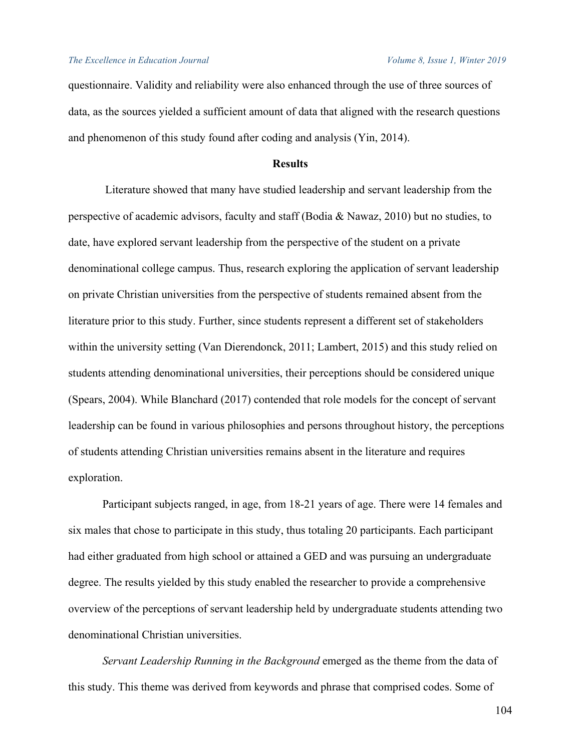questionnaire. Validity and reliability were also enhanced through the use of three sources of data, as the sources yielded a sufficient amount of data that aligned with the research questions and phenomenon of this study found after coding and analysis (Yin, 2014).

## **Results**

Literature showed that many have studied leadership and servant leadership from the perspective of academic advisors, faculty and staff (Bodia & Nawaz, 2010) but no studies, to date, have explored servant leadership from the perspective of the student on a private denominational college campus. Thus, research exploring the application of servant leadership on private Christian universities from the perspective of students remained absent from the literature prior to this study. Further, since students represent a different set of stakeholders within the university setting (Van Dierendonck, 2011; Lambert, 2015) and this study relied on students attending denominational universities, their perceptions should be considered unique (Spears, 2004). While Blanchard (2017) contended that role models for the concept of servant leadership can be found in various philosophies and persons throughout history, the perceptions of students attending Christian universities remains absent in the literature and requires exploration.

 Participant subjects ranged, in age, from 18-21 years of age. There were 14 females and six males that chose to participate in this study, thus totaling 20 participants. Each participant had either graduated from high school or attained a GED and was pursuing an undergraduate degree. The results yielded by this study enabled the researcher to provide a comprehensive overview of the perceptions of servant leadership held by undergraduate students attending two denominational Christian universities.

 *Servant Leadership Running in the Background* emerged as the theme from the data of this study. This theme was derived from keywords and phrase that comprised codes. Some of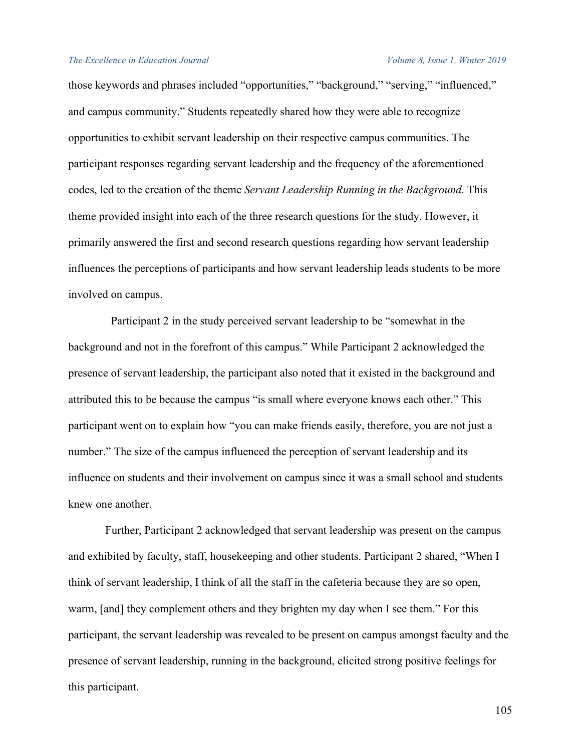those keywords and phrases included "opportunities," "background," "serving," "influenced," and campus community." Students repeatedly shared how they were able to recognize opportunities to exhibit servant leadership on their respective campus communities. The participant responses regarding servant leadership and the frequency of the aforementioned codes, led to the creation of the theme *Servant Leadership Running in the Background.* This theme provided insight into each of the three research questions for the study. However, it primarily answered the first and second research questions regarding how servant leadership influences the perceptions of participants and how servant leadership leads students to be more involved on campus.

 Participant 2 in the study perceived servant leadership to be "somewhat in the background and not in the forefront of this campus." While Participant 2 acknowledged the presence of servant leadership, the participant also noted that it existed in the background and attributed this to be because the campus "is small where everyone knows each other." This participant went on to explain how "you can make friends easily, therefore, you are not just a number." The size of the campus influenced the perception of servant leadership and its influence on students and their involvement on campus since it was a small school and students knew one another.

 Further, Participant 2 acknowledged that servant leadership was present on the campus and exhibited by faculty, staff, housekeeping and other students. Participant 2 shared, "When I think of servant leadership, I think of all the staff in the cafeteria because they are so open, warm, [and] they complement others and they brighten my day when I see them." For this participant, the servant leadership was revealed to be present on campus amongst faculty and the presence of servant leadership, running in the background, elicited strong positive feelings for this participant.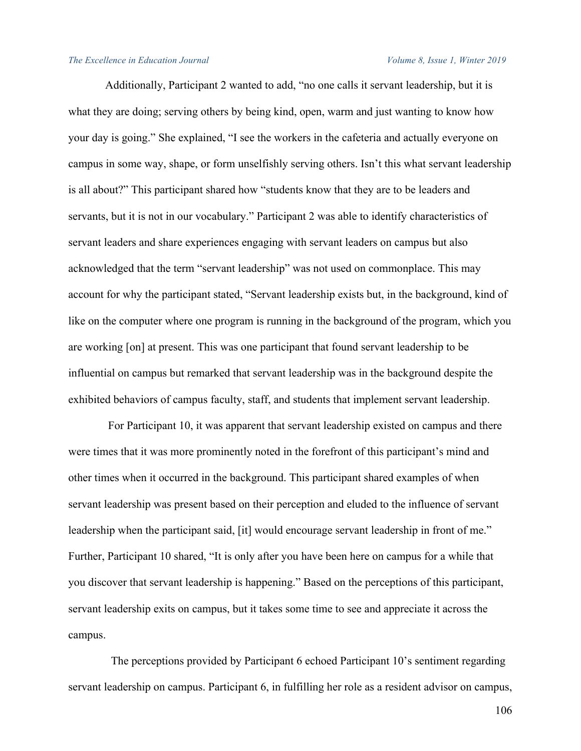Additionally, Participant 2 wanted to add, "no one calls it servant leadership, but it is what they are doing; serving others by being kind, open, warm and just wanting to know how your day is going." She explained, "I see the workers in the cafeteria and actually everyone on campus in some way, shape, or form unselfishly serving others. Isn't this what servant leadership is all about?" This participant shared how "students know that they are to be leaders and servants, but it is not in our vocabulary." Participant 2 was able to identify characteristics of servant leaders and share experiences engaging with servant leaders on campus but also acknowledged that the term "servant leadership" was not used on commonplace. This may account for why the participant stated, "Servant leadership exists but, in the background, kind of like on the computer where one program is running in the background of the program, which you are working [on] at present. This was one participant that found servant leadership to be influential on campus but remarked that servant leadership was in the background despite the exhibited behaviors of campus faculty, staff, and students that implement servant leadership.

 For Participant 10, it was apparent that servant leadership existed on campus and there were times that it was more prominently noted in the forefront of this participant's mind and other times when it occurred in the background. This participant shared examples of when servant leadership was present based on their perception and eluded to the influence of servant leadership when the participant said, [it] would encourage servant leadership in front of me." Further, Participant 10 shared, "It is only after you have been here on campus for a while that you discover that servant leadership is happening." Based on the perceptions of this participant, servant leadership exits on campus, but it takes some time to see and appreciate it across the campus.

 The perceptions provided by Participant 6 echoed Participant 10's sentiment regarding servant leadership on campus. Participant 6, in fulfilling her role as a resident advisor on campus,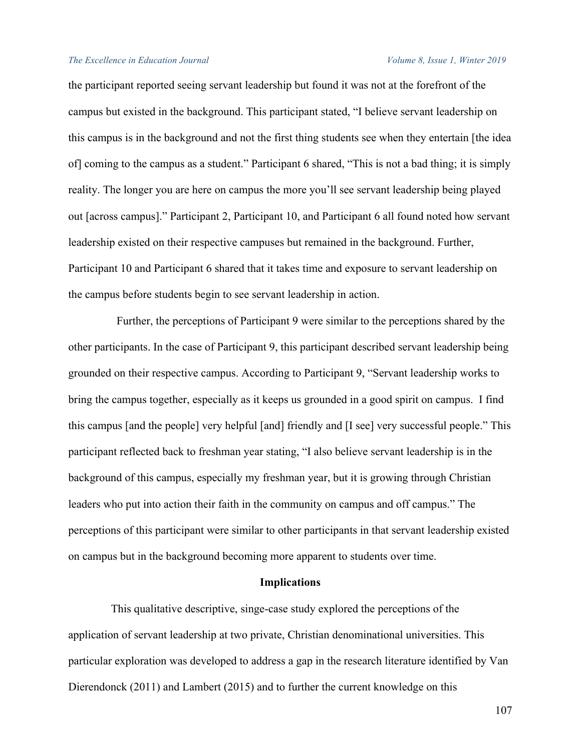the participant reported seeing servant leadership but found it was not at the forefront of the campus but existed in the background. This participant stated, "I believe servant leadership on this campus is in the background and not the first thing students see when they entertain [the idea of] coming to the campus as a student." Participant 6 shared, "This is not a bad thing; it is simply reality. The longer you are here on campus the more you'll see servant leadership being played out [across campus]." Participant 2, Participant 10, and Participant 6 all found noted how servant leadership existed on their respective campuses but remained in the background. Further, Participant 10 and Participant 6 shared that it takes time and exposure to servant leadership on the campus before students begin to see servant leadership in action.

 Further, the perceptions of Participant 9 were similar to the perceptions shared by the other participants. In the case of Participant 9, this participant described servant leadership being grounded on their respective campus. According to Participant 9, "Servant leadership works to bring the campus together, especially as it keeps us grounded in a good spirit on campus. I find this campus [and the people] very helpful [and] friendly and [I see] very successful people." This participant reflected back to freshman year stating, "I also believe servant leadership is in the background of this campus, especially my freshman year, but it is growing through Christian leaders who put into action their faith in the community on campus and off campus." The perceptions of this participant were similar to other participants in that servant leadership existed on campus but in the background becoming more apparent to students over time.

## **Implications**

 This qualitative descriptive, singe-case study explored the perceptions of the application of servant leadership at two private, Christian denominational universities. This particular exploration was developed to address a gap in the research literature identified by Van Dierendonck (2011) and Lambert (2015) and to further the current knowledge on this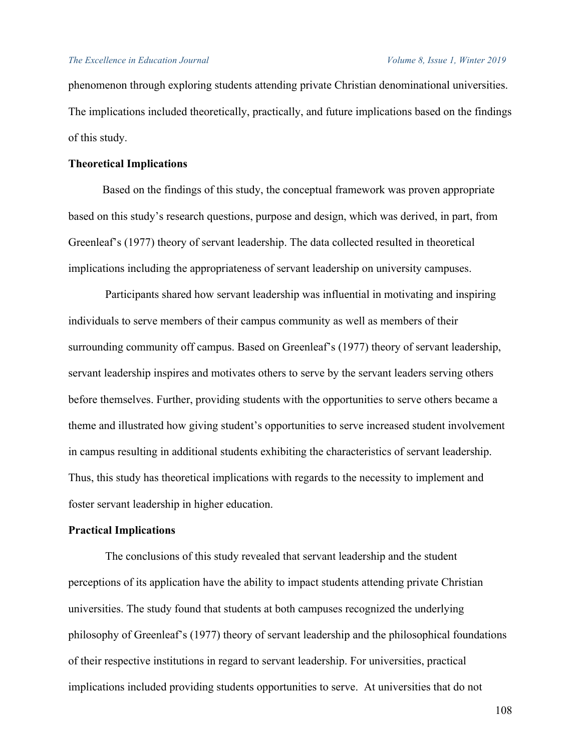phenomenon through exploring students attending private Christian denominational universities. The implications included theoretically, practically, and future implications based on the findings of this study.

## **Theoretical Implications**

 Based on the findings of this study, the conceptual framework was proven appropriate based on this study's research questions, purpose and design, which was derived, in part, from Greenleaf's (1977) theory of servant leadership. The data collected resulted in theoretical implications including the appropriateness of servant leadership on university campuses.

 Participants shared how servant leadership was influential in motivating and inspiring individuals to serve members of their campus community as well as members of their surrounding community off campus. Based on Greenleaf's (1977) theory of servant leadership, servant leadership inspires and motivates others to serve by the servant leaders serving others before themselves. Further, providing students with the opportunities to serve others became a theme and illustrated how giving student's opportunities to serve increased student involvement in campus resulting in additional students exhibiting the characteristics of servant leadership. Thus, this study has theoretical implications with regards to the necessity to implement and foster servant leadership in higher education.

## **Practical Implications**

The conclusions of this study revealed that servant leadership and the student perceptions of its application have the ability to impact students attending private Christian universities. The study found that students at both campuses recognized the underlying philosophy of Greenleaf's (1977) theory of servant leadership and the philosophical foundations of their respective institutions in regard to servant leadership. For universities, practical implications included providing students opportunities to serve. At universities that do not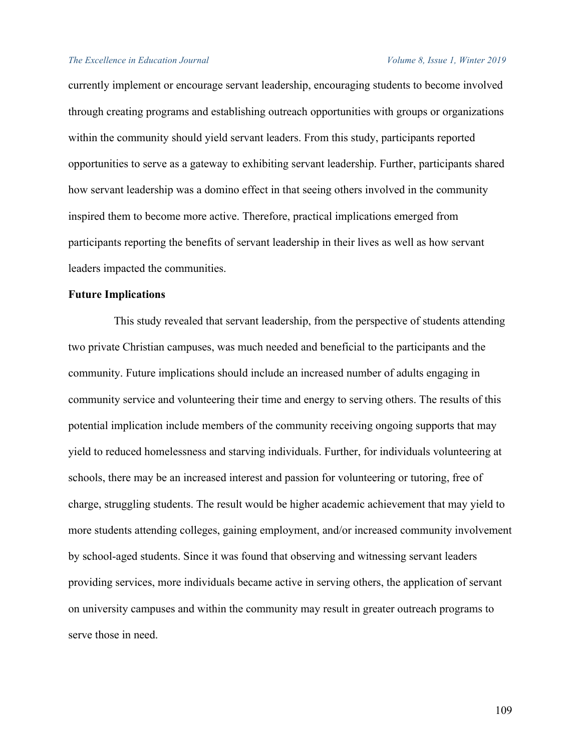currently implement or encourage servant leadership, encouraging students to become involved through creating programs and establishing outreach opportunities with groups or organizations within the community should yield servant leaders. From this study, participants reported opportunities to serve as a gateway to exhibiting servant leadership. Further, participants shared how servant leadership was a domino effect in that seeing others involved in the community inspired them to become more active. Therefore, practical implications emerged from participants reporting the benefits of servant leadership in their lives as well as how servant leaders impacted the communities.

## **Future Implications**

This study revealed that servant leadership, from the perspective of students attending two private Christian campuses, was much needed and beneficial to the participants and the community. Future implications should include an increased number of adults engaging in community service and volunteering their time and energy to serving others. The results of this potential implication include members of the community receiving ongoing supports that may yield to reduced homelessness and starving individuals. Further, for individuals volunteering at schools, there may be an increased interest and passion for volunteering or tutoring, free of charge, struggling students. The result would be higher academic achievement that may yield to more students attending colleges, gaining employment, and/or increased community involvement by school-aged students. Since it was found that observing and witnessing servant leaders providing services, more individuals became active in serving others, the application of servant on university campuses and within the community may result in greater outreach programs to serve those in need.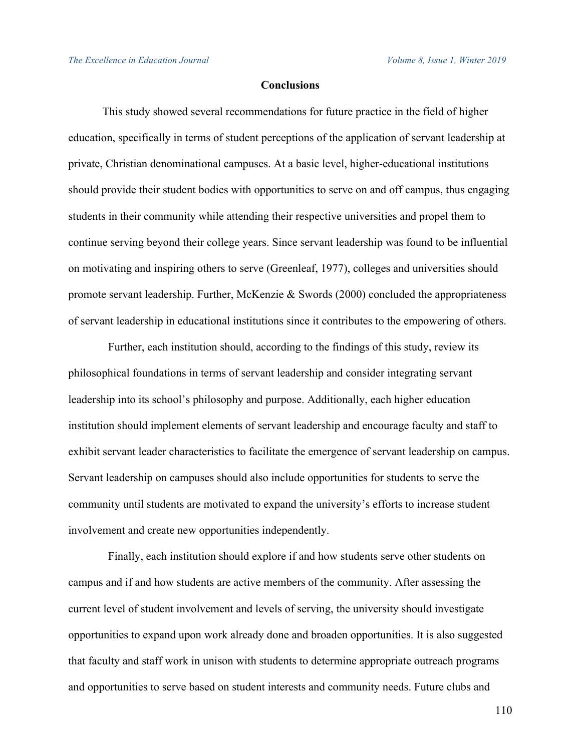## **Conclusions**

 This study showed several recommendations for future practice in the field of higher education, specifically in terms of student perceptions of the application of servant leadership at private, Christian denominational campuses. At a basic level, higher-educational institutions should provide their student bodies with opportunities to serve on and off campus, thus engaging students in their community while attending their respective universities and propel them to continue serving beyond their college years. Since servant leadership was found to be influential on motivating and inspiring others to serve (Greenleaf, 1977), colleges and universities should promote servant leadership. Further, McKenzie & Swords (2000) concluded the appropriateness of servant leadership in educational institutions since it contributes to the empowering of others.

 Further, each institution should, according to the findings of this study, review its philosophical foundations in terms of servant leadership and consider integrating servant leadership into its school's philosophy and purpose. Additionally, each higher education institution should implement elements of servant leadership and encourage faculty and staff to exhibit servant leader characteristics to facilitate the emergence of servant leadership on campus. Servant leadership on campuses should also include opportunities for students to serve the community until students are motivated to expand the university's efforts to increase student involvement and create new opportunities independently.

 Finally, each institution should explore if and how students serve other students on campus and if and how students are active members of the community. After assessing the current level of student involvement and levels of serving, the university should investigate opportunities to expand upon work already done and broaden opportunities. It is also suggested that faculty and staff work in unison with students to determine appropriate outreach programs and opportunities to serve based on student interests and community needs. Future clubs and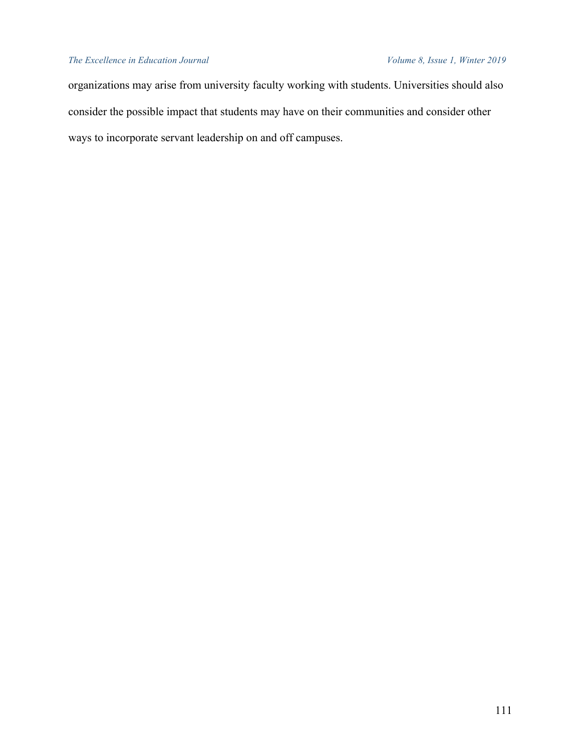organizations may arise from university faculty working with students. Universities should also consider the possible impact that students may have on their communities and consider other ways to incorporate servant leadership on and off campuses.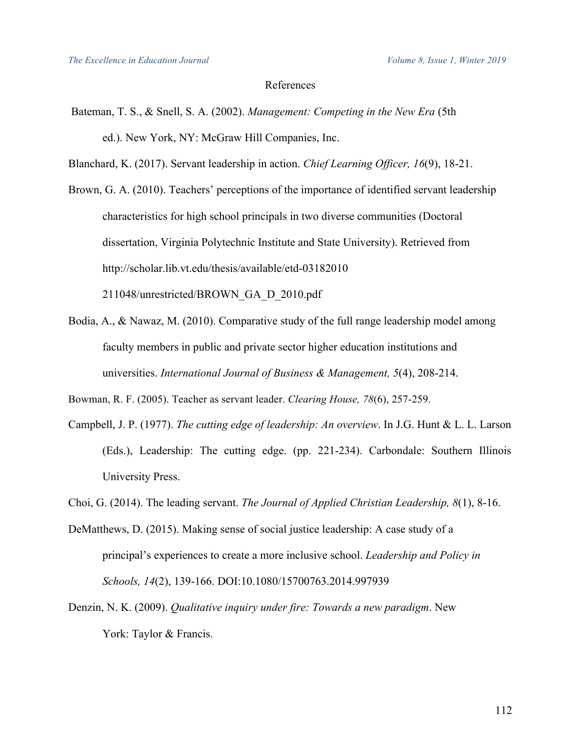## References

- Bateman, T. S., & Snell, S. A. (2002). *Management: Competing in the New Era* (5th ed.). New York, NY: McGraw Hill Companies, Inc.
- Blanchard, K. (2017). Servant leadership in action. *Chief Learning Officer, 16*(9), 18-21.

Brown, G. A. (2010). Teachers' perceptions of the importance of identified servant leadership characteristics for high school principals in two diverse communities (Doctoral dissertation, Virginia Polytechnic Institute and State University). Retrieved from http://scholar.lib.vt.edu/thesis/available/etd-03182010

211048/unrestricted/BROWN\_GA\_D\_2010.pdf

Bodia, A., & Nawaz, M. (2010). Comparative study of the full range leadership model among faculty members in public and private sector higher education institutions and universities. *International Journal of Business & Management, 5*(4), 208-214.

Bowman, R. F. (2005). Teacher as servant leader. *Clearing House, 78*(6), 257-259.

- Campbell, J. P. (1977). *The cutting edge of leadership: An overview*. In J.G. Hunt & L. L. Larson (Eds.), Leadership: The cutting edge. (pp. 221-234). Carbondale: Southern Illinois University Press.
- Choi, G. (2014). The leading servant. *The Journal of Applied Christian Leadership, 8*(1), 8-16.
- DeMatthews, D. (2015). Making sense of social justice leadership: A case study of a principal's experiences to create a more inclusive school. *Leadership and Policy in Schools, 14*(2), 139-166. DOI:10.1080/15700763.2014.997939
- Denzin, N. K. (2009). *Qualitative inquiry under fire: Towards a new paradigm*. New York: Taylor & Francis.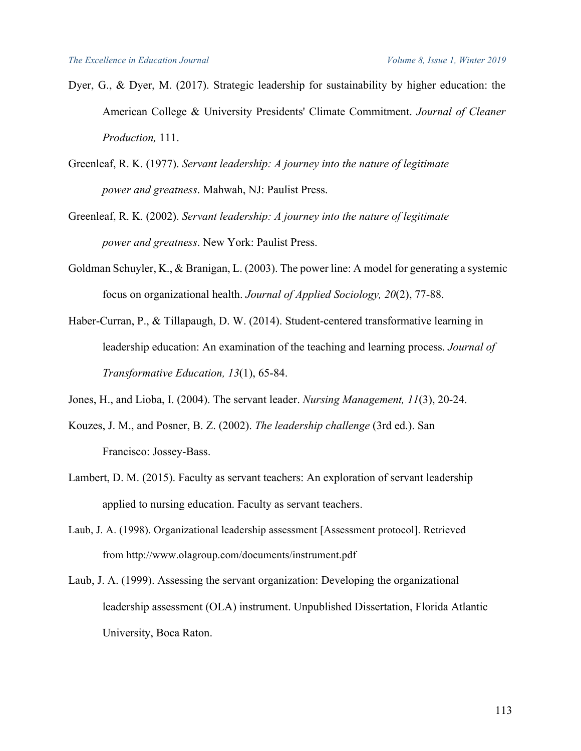- Dyer, G., & Dyer, M. (2017). Strategic leadership for sustainability by higher education: the American College & University Presidents' Climate Commitment. *Journal of Cleaner Production,* 111.
- Greenleaf, R. K. (1977). *Servant leadership: A journey into the nature of legitimate power and greatness*. Mahwah, NJ: Paulist Press.
- Greenleaf, R. K. (2002). *Servant leadership: A journey into the nature of legitimate power and greatness*. New York: Paulist Press.
- Goldman Schuyler, K., & Branigan, L. (2003). The power line: A model for generating a systemic focus on organizational health. *Journal of Applied Sociology, 20*(2), 77-88.
- Haber-Curran, P., & Tillapaugh, D. W. (2014). Student-centered transformative learning in leadership education: An examination of the teaching and learning process. *Journal of Transformative Education, 13*(1), 65-84.

Jones, H., and Lioba, I. (2004). The servant leader. *Nursing Management, 11*(3), 20-24.

- Kouzes, J. M., and Posner, B. Z. (2002). *The leadership challenge* (3rd ed.). San Francisco: Jossey-Bass.
- Lambert, D. M. (2015). Faculty as servant teachers: An exploration of servant leadership applied to nursing education. Faculty as servant teachers.
- Laub, J. A. (1998). Organizational leadership assessment [Assessment protocol]. Retrieved from http://www.olagroup.com/documents/instrument.pdf
- Laub, J. A. (1999). Assessing the servant organization: Developing the organizational leadership assessment (OLA) instrument. Unpublished Dissertation, Florida Atlantic University, Boca Raton.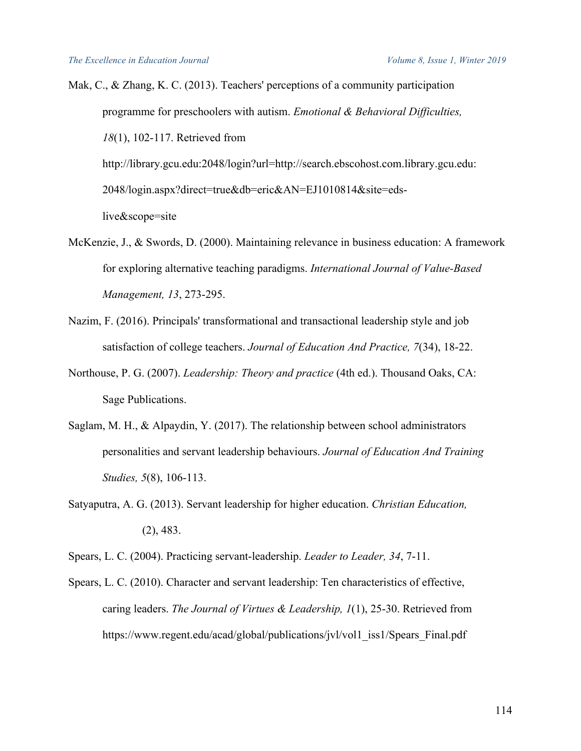Mak, C., & Zhang, K. C. (2013). Teachers' perceptions of a community participation programme for preschoolers with autism. *Emotional & Behavioral Difficulties, 18*(1), 102-117. Retrieved from http://library.gcu.edu:2048/login?url=http://search.ebscohost.com.library.gcu.edu: 2048/login.aspx?direct=true&db=eric&AN=EJ1010814&site=eds-

live&scope=site

- McKenzie, J., & Swords, D. (2000). Maintaining relevance in business education: A framework for exploring alternative teaching paradigms. *International Journal of Value-Based Management, 13*, 273-295.
- Nazim, F. (2016). Principals' transformational and transactional leadership style and job satisfaction of college teachers. *Journal of Education And Practice, 7*(34), 18-22.
- Northouse, P. G. (2007). *Leadership: Theory and practice* (4th ed.). Thousand Oaks, CA: Sage Publications.
- Saglam, M. H., & Alpaydin, Y. (2017). The relationship between school administrators personalities and servant leadership behaviours. *Journal of Education And Training Studies, 5*(8), 106-113.
- Satyaputra, A. G. (2013). Servant leadership for higher education. *Christian Education,* (2), 483.
- Spears, L. C. (2004). Practicing servant-leadership. *Leader to Leader, 34*, 7-11.
- Spears, L. C. (2010). Character and servant leadership: Ten characteristics of effective, caring leaders. *The Journal of Virtues & Leadership, 1*(1), 25-30. Retrieved from https://www.regent.edu/acad/global/publications/jvl/vol1\_iss1/Spears\_Final.pdf